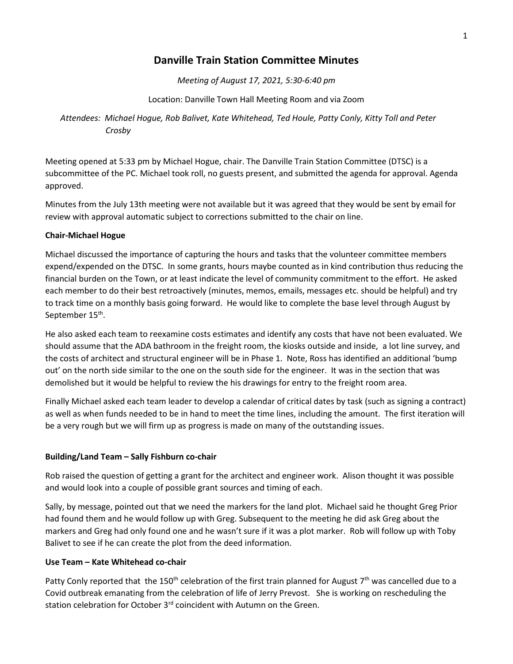# **Danville Train Station Committee Minutes**

*Meeting of August 17, 2021, 5:30-6:40 pm*

Location: Danville Town Hall Meeting Room and via Zoom

*Attendees: Michael Hogue, Rob Balivet, Kate Whitehead, Ted Houle, Patty Conly, Kitty Toll and Peter Crosby*

Meeting opened at 5:33 pm by Michael Hogue, chair. The Danville Train Station Committee (DTSC) is a subcommittee of the PC. Michael took roll, no guests present, and submitted the agenda for approval. Agenda approved.

Minutes from the July 13th meeting were not available but it was agreed that they would be sent by email for review with approval automatic subject to corrections submitted to the chair on line.

### **Chair-Michael Hogue**

Michael discussed the importance of capturing the hours and tasks that the volunteer committee members expend/expended on the DTSC. In some grants, hours maybe counted as in kind contribution thus reducing the financial burden on the Town, or at least indicate the level of community commitment to the effort. He asked each member to do their best retroactively (minutes, memos, emails, messages etc. should be helpful) and try to track time on a monthly basis going forward. He would like to complete the base level through August by September 15<sup>th</sup>.

He also asked each team to reexamine costs estimates and identify any costs that have not been evaluated. We should assume that the ADA bathroom in the freight room, the kiosks outside and inside, a lot line survey, and the costs of architect and structural engineer will be in Phase 1. Note, Ross has identified an additional 'bump out' on the north side similar to the one on the south side for the engineer. It was in the section that was demolished but it would be helpful to review the his drawings for entry to the freight room area.

Finally Michael asked each team leader to develop a calendar of critical dates by task (such as signing a contract) as well as when funds needed to be in hand to meet the time lines, including the amount. The first iteration will be a very rough but we will firm up as progress is made on many of the outstanding issues.

### **Building/Land Team – Sally Fishburn co-chair**

Rob raised the question of getting a grant for the architect and engineer work. Alison thought it was possible and would look into a couple of possible grant sources and timing of each.

Sally, by message, pointed out that we need the markers for the land plot. Michael said he thought Greg Prior had found them and he would follow up with Greg. Subsequent to the meeting he did ask Greg about the markers and Greg had only found one and he wasn't sure if it was a plot marker. Rob will follow up with Toby Balivet to see if he can create the plot from the deed information.

### **Use Team – Kate Whitehead co-chair**

Patty Conly reported that the 150<sup>th</sup> celebration of the first train planned for August 7<sup>th</sup> was cancelled due to a Covid outbreak emanating from the celebration of life of Jerry Prevost. She is working on rescheduling the station celebration for October 3<sup>rd</sup> coincident with Autumn on the Green.